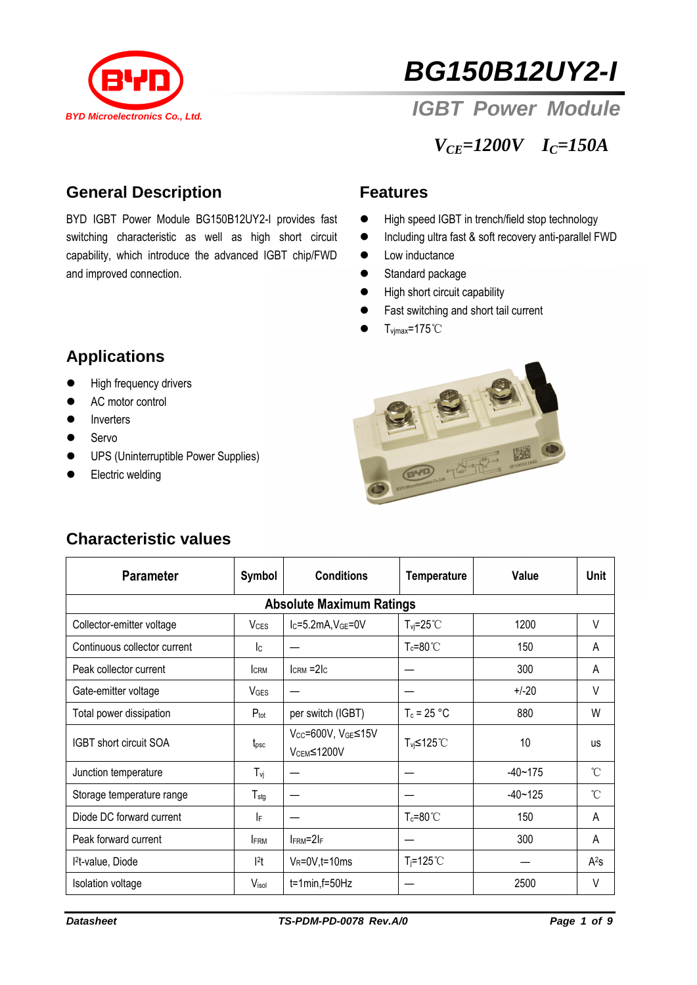

# *BG150B12UY2-I*

*IGBT Power Module*

*VCE=1200V IC=150A*

#### **General Description**

BYD IGBT Power Module BG150B12UY2-I provides fast switching characteristic as well as high short circuit capability, which introduce the advanced IGBT chip/FWD and improved connection.

#### **Features**

- High speed IGBT in trench/field stop technology
- Including ultra fast & soft recovery anti-parallel FWD
- Low inductance
- Standard package
- $\bullet$  High short circuit capability
- Fast switching and short tail current
- $\bullet$  T<sub>vjmax</sub>=175°C

# **Applications**

- **•** High frequency drivers
- AC motor control
- **•** Inverters
- **Servo**
- **•** UPS (Uninterruptible Power Supplies)
- **Electric welding**



| <b>Parameter</b>                | Symbol                    | <b>Conditions</b>                            | <b>Temperature</b>      | Value       | <b>Unit</b> |  |  |  |  |  |
|---------------------------------|---------------------------|----------------------------------------------|-------------------------|-------------|-------------|--|--|--|--|--|
| <b>Absolute Maximum Ratings</b> |                           |                                              |                         |             |             |  |  |  |  |  |
| Collector-emitter voltage       | <b>V</b> <sub>CES</sub>   | Ic=5.2mA, VGE=0V                             | $T_{vi} = 25^{\circ}$ C | 1200        | $\vee$      |  |  |  |  |  |
| Continuous collector current    | $\mathsf{I}_{\mathsf{C}}$ |                                              | $T_c = 80^{\circ}$      | 150         | A           |  |  |  |  |  |
| Peak collector current          | <b>CRM</b>                | $lcRM = 2lc$                                 |                         | 300         | A           |  |  |  |  |  |
| Gate-emitter voltage            | <b>V<sub>GES</sub></b>    |                                              |                         | $+/-20$     | V           |  |  |  |  |  |
| Total power dissipation         | $P_{\text{tot}}$          | per switch (IGBT)                            | $T_c = 25 °C$           | 880         | W           |  |  |  |  |  |
| <b>IGBT</b> short circuit SOA   | t <sub>psc</sub>          | Vcc=600V, VGE≤15V<br>V <sub>CEM</sub> ≤1200V | T <sub>vj</sub> ≤125℃   | 10          | <b>us</b>   |  |  |  |  |  |
| Junction temperature            | $T_{\nu i}$               |                                              |                         | $-40 - 175$ | °C          |  |  |  |  |  |
| Storage temperature range       | $T_{\text{stg}}$          |                                              |                         | $-40 - 125$ | °C          |  |  |  |  |  |
| Diode DC forward current        | IF                        |                                              | $T_c = 80^{\circ}$ C    | 150         | A           |  |  |  |  |  |
| Peak forward current            | <b>FRM</b>                | $I_{FRM} = 2I_F$                             |                         | 300         | A           |  |  |  |  |  |
| l <sup>2</sup> t-value, Diode   | $ ^{2}t$                  | $V_R = 0V$ , t = 10 ms                       | $T_i = 125^{\circ}$     |             | $A^2s$      |  |  |  |  |  |
| <b>Isolation voltage</b>        | V <sub>isol</sub>         | $t=1$ min, $f=50$ Hz                         |                         | 2500        | V           |  |  |  |  |  |

### **Characteristic values**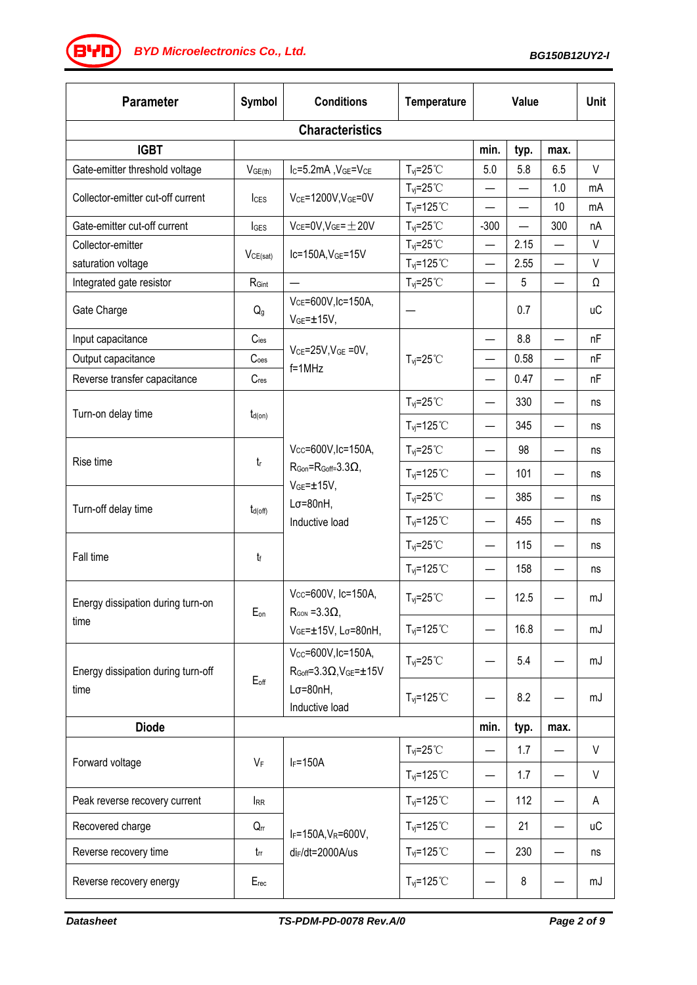*BG150B12UY2-I BYD Microelectronics Co., Ltd.*

| <b>Parameter</b>                           | Symbol              | <b>Conditions</b>                                                                                                            | <b>Temperature</b>                                    | <b>Value</b>             |                          | <b>Unit</b>              |           |  |  |
|--------------------------------------------|---------------------|------------------------------------------------------------------------------------------------------------------------------|-------------------------------------------------------|--------------------------|--------------------------|--------------------------|-----------|--|--|
| <b>Characteristics</b>                     |                     |                                                                                                                              |                                                       |                          |                          |                          |           |  |  |
| <b>IGBT</b>                                |                     |                                                                                                                              |                                                       | min.                     | typ.                     | max.                     |           |  |  |
| Gate-emitter threshold voltage             | V <sub>GE(th)</sub> | Ic=5.2mA, VGE=VCE                                                                                                            | $T_{vi} = 25^{\circ}$ C                               | 5.0                      | 5.8                      | 6.5                      | V         |  |  |
| Collector-emitter cut-off current          | <b>I</b> CES        | VCE=1200V, VGE=0V                                                                                                            | $T_{vi} = 25^{\circ}$ C                               |                          |                          | 1.0                      | mA        |  |  |
|                                            |                     |                                                                                                                              | $T_{\text{vj}}$ =125°C                                |                          | $\overline{\phantom{0}}$ | 10                       | mA        |  |  |
| Gate-emitter cut-off current               | IGES                | $V_{CE}$ =0V, $V_{GE}$ = $\pm$ 20V                                                                                           | $T_{vi} = 25^{\circ}$ C                               | $-300$                   | $\overline{\phantom{0}}$ | 300                      | nA        |  |  |
| Collector-emitter                          | VCE(sat)            | Ic=150A, VGE=15V                                                                                                             | $T_{vi} = 25^{\circ}$ C                               | $\overline{\phantom{0}}$ | 2.15                     |                          | V         |  |  |
| saturation voltage                         | RGint               |                                                                                                                              | $T_{\text{vj}}$ =125°C<br>$T_{\text{vj}}=25^{\circ}C$ | $\overline{\phantom{0}}$ | 2.55<br>5                | $\overline{\phantom{0}}$ | V<br>Ω    |  |  |
| Integrated gate resistor                   |                     | $\overline{\phantom{0}}$<br>V <sub>CE</sub> =600V, Ic=150A,                                                                  |                                                       |                          |                          |                          |           |  |  |
| Gate Charge                                | Q <sub>g</sub>      | $VGE = ±15V,$                                                                                                                |                                                       |                          | 0.7                      |                          | <b>uC</b> |  |  |
| Input capacitance                          | $C$ ies             | $V_{CE}$ =25V, $V_{GE}$ =0V,<br>$f=1$ MHz                                                                                    | $T_{vi} = 25^{\circ}$ C                               |                          | 8.8                      |                          | nF        |  |  |
| Output capacitance                         | Coes                |                                                                                                                              |                                                       | $\overline{\phantom{0}}$ | 0.58                     |                          | nF        |  |  |
| Reverse transfer capacitance               | Cres                |                                                                                                                              |                                                       | $\overline{\phantom{0}}$ | 0.47                     | $\overline{\phantom{0}}$ | nF        |  |  |
| Turn-on delay time                         | $t_{d(on)}$         | Vcc=600V, Ic=150A,<br>$R_{\text{Gon}} = R_{\text{Goff}} = 3.3 \Omega$<br>$VGE=±15V,$<br>$L\sigma = 80nH$ ,<br>Inductive load | $T_{\text{vj}}=25^{\circ}C$                           | —                        | 330                      |                          | ns        |  |  |
|                                            |                     |                                                                                                                              | $T_{vi} = 125^{\circ}$                                | $\qquad \qquad$          | 345                      |                          | ns        |  |  |
| Rise time                                  | $t_{\rm r}$         |                                                                                                                              | $T_{\text{vj}}=25^{\circ}C$                           | $\overline{\phantom{0}}$ | 98                       |                          | ns        |  |  |
|                                            |                     |                                                                                                                              | $T_{vi} = 125$ °C                                     | —                        | 101                      |                          | ns        |  |  |
| Turn-off delay time                        | $t_{d(off)}$        |                                                                                                                              | $T_{vi} = 25^{\circ}$ C                               | —                        | 385                      |                          | ns        |  |  |
|                                            |                     |                                                                                                                              | $T_{\text{vj}}$ =125°C                                | —                        | 455                      |                          | ns        |  |  |
| Fall time                                  | tf                  |                                                                                                                              | $T_{vi} = 25^{\circ}$ C                               | $\qquad \qquad$          | 115                      |                          | ns        |  |  |
|                                            |                     |                                                                                                                              | $T_{\text{vj}}$ =125°C                                | $\overline{\phantom{0}}$ | 158                      |                          | ns        |  |  |
| Energy dissipation during turn-on<br>time  | Eon                 | Vcc=600V, Ic=150A,<br>$R_{\text{GON}} = 3.3 \Omega$<br>VGE=±15V, Lσ=80nH,                                                    | $T_{\text{vj}}=25^{\circ}C$                           |                          | 12.5                     |                          | mJ        |  |  |
|                                            |                     |                                                                                                                              | $T_{vi} = 125^{\circ}$                                |                          | 16.8                     |                          | mJ        |  |  |
| Energy dissipation during turn-off<br>time | $E_{off}$           | Vcc=600V, Ic=150A,<br>$R_{Goff} = 3.3 \Omega, V_{GE} = \pm 15 V$<br>$L\sigma = 80nH,$<br>Inductive load                      | $T_{\text{vj}}=25^{\circ}C$                           |                          | 5.4                      |                          | mJ        |  |  |
|                                            |                     |                                                                                                                              | $T_{vi} = 125^{\circ}$ C                              |                          | 8.2                      |                          | mJ        |  |  |
| <b>Diode</b>                               |                     |                                                                                                                              |                                                       |                          | typ.                     | max.                     |           |  |  |
|                                            | VF                  | $I_F = 150A$                                                                                                                 | $T_{vi} = 25^{\circ}$ C                               | —                        | 1.7                      |                          | V         |  |  |
| Forward voltage                            |                     |                                                                                                                              | $T_{\text{vj}}$ =125°C                                | —                        | 1.7                      |                          | V         |  |  |
| Peak reverse recovery current              | <b>IRR</b>          | IF=150A, VR=600V,<br>di <sub>F</sub> /dt=2000A/us                                                                            | $T_{\text{vj}}$ =125°C                                | $\overline{\phantom{0}}$ | 112                      |                          | A         |  |  |
| Recovered charge                           | $Q_{rr}$            |                                                                                                                              | $T_{vi} = 125^{\circ}$ C                              | $\overline{\phantom{0}}$ | 21                       |                          | иC        |  |  |
| Reverse recovery time                      | $t_{rr}$            |                                                                                                                              | $T_{\text{vj}}$ =125°C                                | —                        | 230                      |                          | ns        |  |  |
| Reverse recovery energy                    | $E_{rec}$           |                                                                                                                              | $T_{vi} = 125^{\circ}$ C                              |                          | 8                        |                          | mJ        |  |  |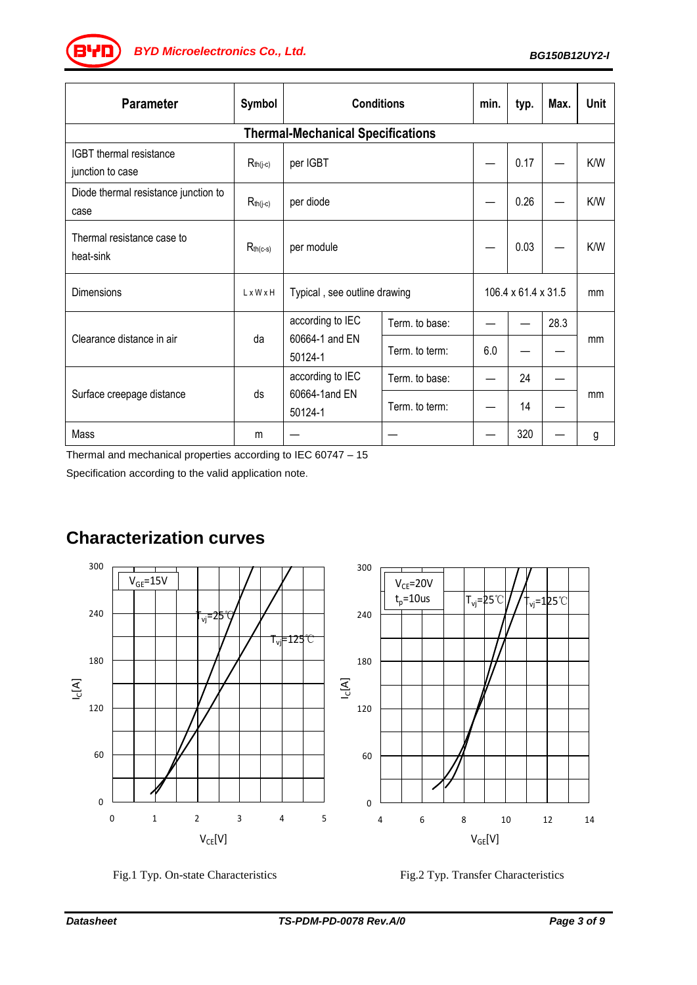*BG150B12UY2-I BYD Microelectronics Co., Ltd.*

| <b>Parameter</b>                             | Symbol                | <b>Conditions</b>                             |                | min.                | typ. | Max. | Unit |  |  |
|----------------------------------------------|-----------------------|-----------------------------------------------|----------------|---------------------|------|------|------|--|--|
| <b>Thermal-Mechanical Specifications</b>     |                       |                                               |                |                     |      |      |      |  |  |
| IGBT thermal resistance<br>junction to case  | $R_{th(j-c)}$         | per IGBT                                      |                |                     | 0.17 |      | K/W  |  |  |
| Diode thermal resistance junction to<br>case | $R_{th(j-c)}$         | per diode                                     |                |                     | 0.26 |      | K/W  |  |  |
| Thermal resistance case to<br>heat-sink      | $R_{th(c-s)}$         | per module                                    |                |                     | 0.03 |      | K/W  |  |  |
| Dimensions                                   | $L \times W \times H$ | Typical, see outline drawing                  |                | 106.4 x 61.4 x 31.5 |      | mm   |      |  |  |
| Clearance distance in air                    | da                    | according to IEC<br>60664-1 and EN<br>50124-1 | Term. to base: |                     |      | 28.3 |      |  |  |
|                                              |                       |                                               | Term. to term: | 6.0                 |      |      | mm   |  |  |
| Surface creepage distance                    | ds                    | according to IEC<br>60664-1and EN<br>50124-1  | Term. to base: |                     | 24   |      | mm   |  |  |
|                                              |                       |                                               | Term. to term: |                     | 14   |      |      |  |  |
| Mass                                         | m                     |                                               |                |                     | 320  |      | g    |  |  |

Thermal and mechanical properties according to IEC 60747 – 15

Specification according to the valid application note.

# **Characterization curves**



Fig.1 Typ. On-state Characteristics Fig.2 Typ. Transfer Characteristics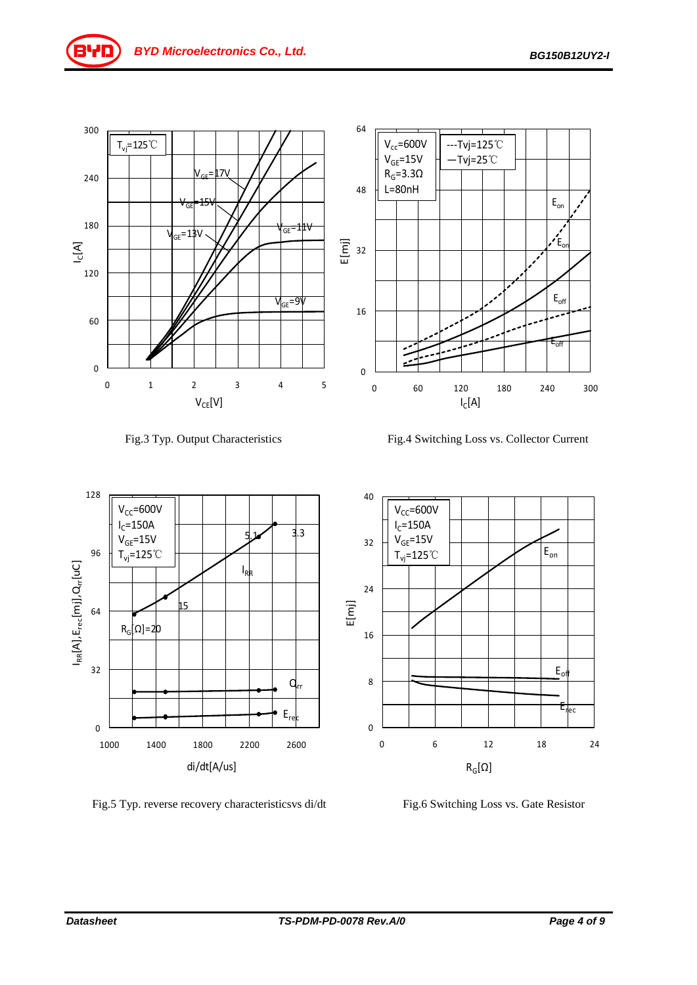



Fig.3 Typ. Output Characteristics Fig.4 Switching Loss vs. Collector Current



Fig.5 Typ. reverse recovery characteristicsvs di/dt Fig.6 Switching Loss vs. Gate Resistor

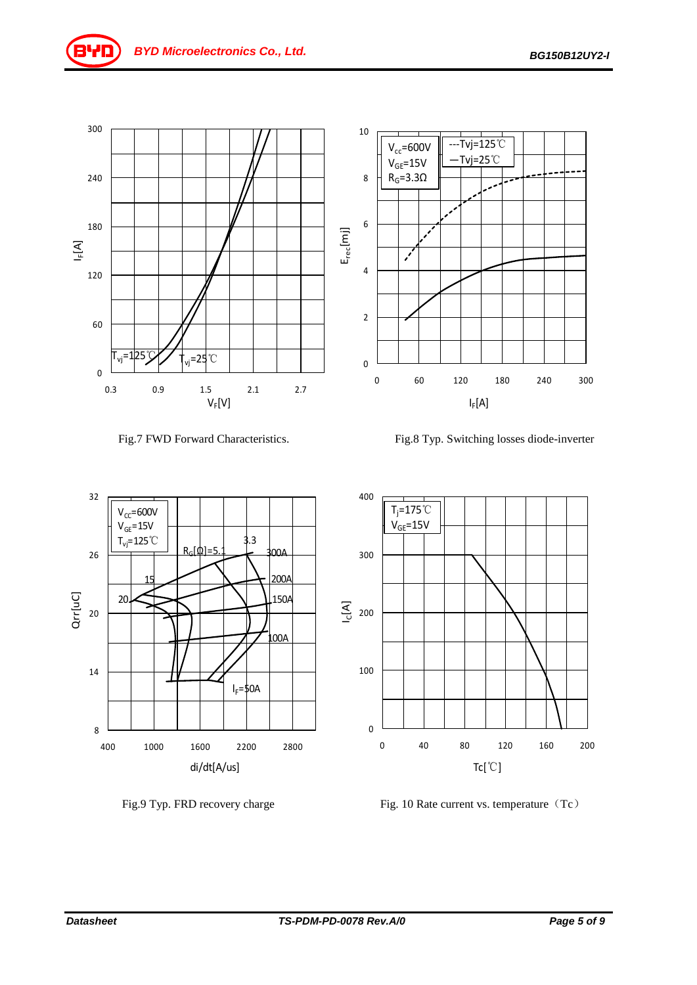



Fig.7 FWD Forward Characteristics. Fig.8 Typ. Switching losses diode-inverter







Fig.9 Typ. FRD recovery charge Fig. 10 Rate current vs. temperature (Tc)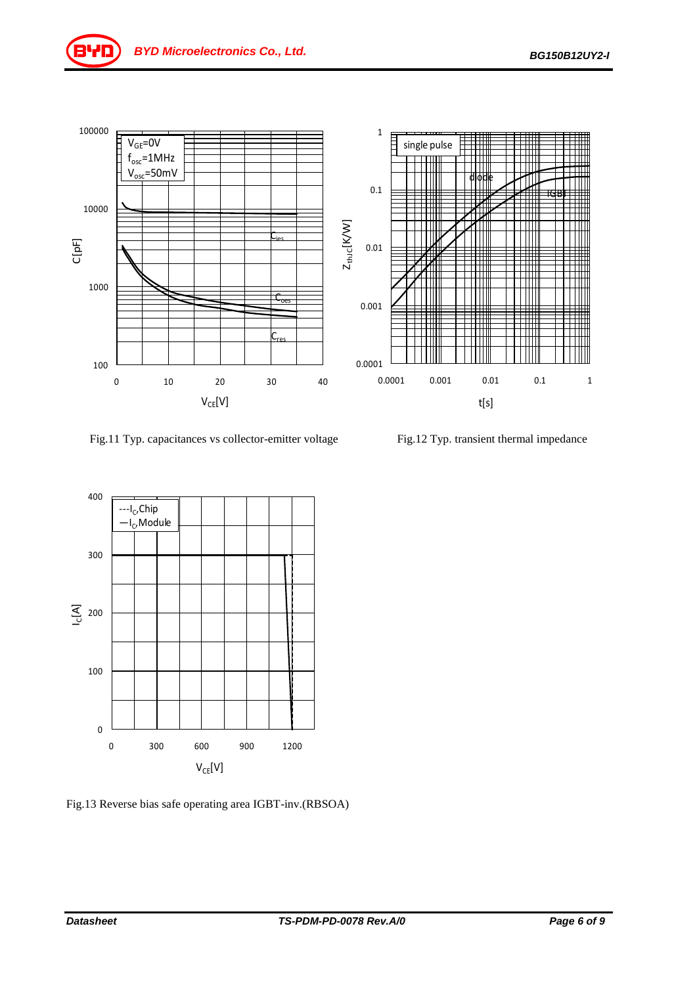

Fig.11 Typ. capacitances vs collector-emitter voltage Fig.12 Typ. transient thermal impedance



Fig.13 Reverse bias safe operating area IGBT-inv.(RBSOA)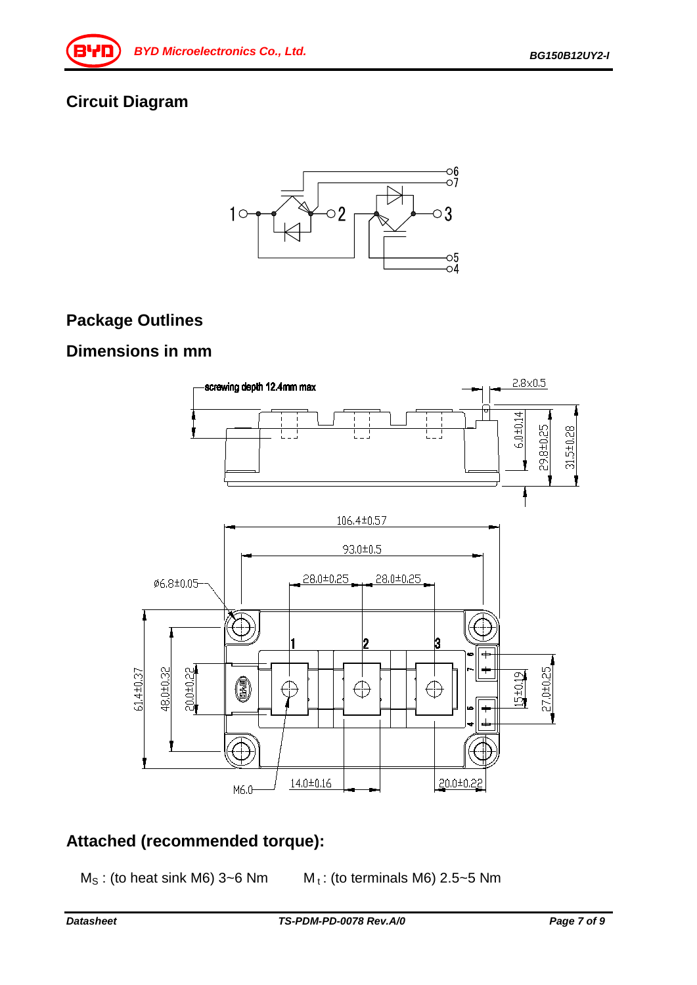# **Circuit Diagram**



# **Package Outlines**

#### **Dimensions in mm**



# **Attached (recommended torque):**

- 
- $M<sub>S</sub>$ : (to heat sink M6) 3~6 Nm  $M<sub>t</sub>$ : (to terminals M6) 2.5~5 Nm